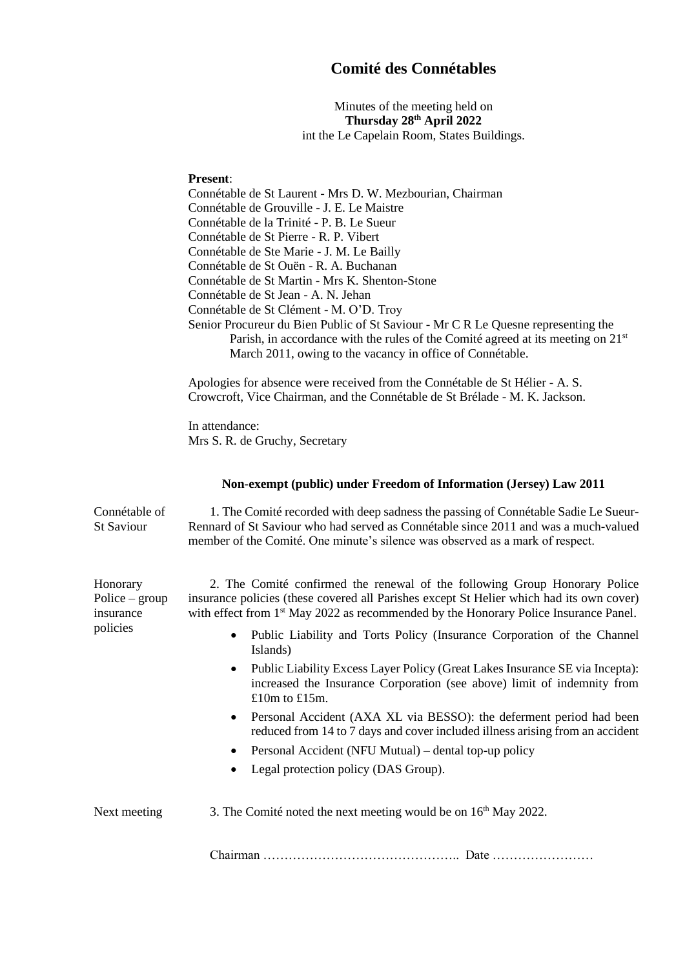## **Comité des Connétables**

Minutes of the meeting held on **Thursday 28th April 2022** int the Le Capelain Room, States Buildings.

## **Present**:

Connétable de St Laurent - Mrs D. W. Mezbourian, Chairman Connétable de Grouville - J. E. Le Maistre Connétable de la Trinité - P. B. Le Sueur Connétable de St Pierre - R. P. Vibert Connétable de Ste Marie - J. M. Le Bailly Connétable de St Ouën - R. A. Buchanan Connétable de St Martin - Mrs K. Shenton-Stone Connétable de St Jean - A. N. Jehan Connétable de St Clément - M. O'D. Troy Senior Procureur du Bien Public of St Saviour - Mr C R Le Quesne representing the Parish, in accordance with the rules of the Comité agreed at its meeting on 21<sup>st</sup> March 2011, owing to the vacancy in office of Connétable.

Apologies for absence were received from the Connétable de St Hélier - A. S. Crowcroft, Vice Chairman, and the Connétable de St Brélade - M. K. Jackson.

In attendance: Mrs S. R. de Gruchy, Secretary

## **Non-exempt (public) under Freedom of Information (Jersey) Law 2011**

| Connétable of<br>St Saviour                           | 1. The Comité recorded with deep sadness the passing of Connétable Sadie Le Sueur-<br>Rennard of St Saviour who had served as Connétable since 2011 and was a much-valued<br>member of the Comité. One minute's silence was observed as a mark of respect.                                                                                              |
|-------------------------------------------------------|---------------------------------------------------------------------------------------------------------------------------------------------------------------------------------------------------------------------------------------------------------------------------------------------------------------------------------------------------------|
| Honorary<br>$Police - group$<br>insurance<br>policies | 2. The Comité confirmed the renewal of the following Group Honorary Police<br>insurance policies (these covered all Parishes except St Helier which had its own cover)<br>with effect from $1st$ May 2022 as recommended by the Honorary Police Insurance Panel.<br>Public Liability and Torts Policy (Insurance Corporation of the Channel<br>Islands) |
|                                                       | Public Liability Excess Layer Policy (Great Lakes Insurance SE via Incepta):<br>increased the Insurance Corporation (see above) limit of indemnity from<br>£10 $m$ to £15 $m$ .                                                                                                                                                                         |
|                                                       | Personal Accident (AXA XL via BESSO): the deferment period had been<br>reduced from 14 to 7 days and cover included illness arising from an accident                                                                                                                                                                                                    |
|                                                       | Personal Accident (NFU Mutual) – dental top-up policy                                                                                                                                                                                                                                                                                                   |
|                                                       | Legal protection policy (DAS Group).                                                                                                                                                                                                                                                                                                                    |
| Next meeting                                          | 3. The Comité noted the next meeting would be on 16 <sup>th</sup> May 2022.                                                                                                                                                                                                                                                                             |
|                                                       |                                                                                                                                                                                                                                                                                                                                                         |